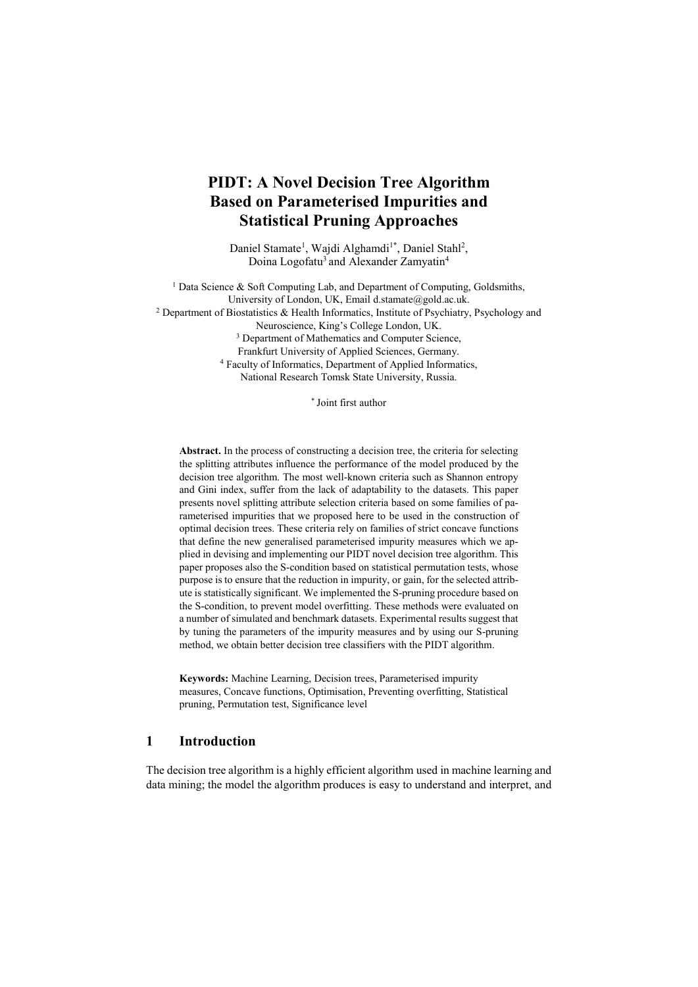# **PIDT: A Novel Decision Tree Algorithm Based on Parameterised Impurities and Statistical Pruning Approaches**

Daniel Stamate<sup>1</sup>, Wajdi Alghamdi<sup>1\*</sup>, Daniel Stahl<sup>2</sup>, Doina Logofatu<sup>3</sup> and Alexander Zamyatin<sup>4</sup>

<sup>1</sup> Data Science & Soft Computing Lab, and Department of Computing, Goldsmiths, University of London, UK, Email d.stamate@gold.ac.uk. <sup>2</sup> Department of [Biostatistics & Health Informatics,](https://kclpure.kcl.ac.uk/portal/en/organisations/biostatistics--health-informatics(843d218e-8612-4ff3-a5c9-b8b1eac7377f).html) Institute of Psychiatry, Psychology and Neuroscience, King's College London, UK. <sup>3</sup> Department of Mathematics and Computer Science, Frankfurt University of Applied Sciences, Germany. <sup>4</sup> Faculty of Informatics, Department of Applied Informatics, National Research Tomsk State University, Russia.

\* Joint first author

**Abstract.** In the process of constructing a decision tree, the criteria for selecting the splitting attributes influence the performance of the model produced by the decision tree algorithm. The most well-known criteria such as Shannon entropy and Gini index, suffer from the lack of adaptability to the datasets. This paper presents novel splitting attribute selection criteria based on some families of parameterised impurities that we proposed here to be used in the construction of optimal decision trees. These criteria rely on families of strict concave functions that define the new generalised parameterised impurity measures which we applied in devising and implementing our PIDT novel decision tree algorithm. This paper proposes also the S-condition based on statistical permutation tests, whose purpose is to ensure that the reduction in impurity, or gain, for the selected attribute is statistically significant. We implemented the S-pruning procedure based on the S-condition, to prevent model overfitting. These methods were evaluated on a number of simulated and benchmark datasets. Experimental results suggest that by tuning the parameters of the impurity measures and by using our S-pruning method, we obtain better decision tree classifiers with the PIDT algorithm.

**Keywords:** Machine Learning, Decision trees, Parameterised impurity measures, Concave functions, Optimisation, Preventing overfitting, Statistical pruning, Permutation test, Significance level

### **1 Introduction**

The decision tree algorithm is a highly efficient algorithm used in machine learning and data mining; the model the algorithm produces is easy to understand and interpret, and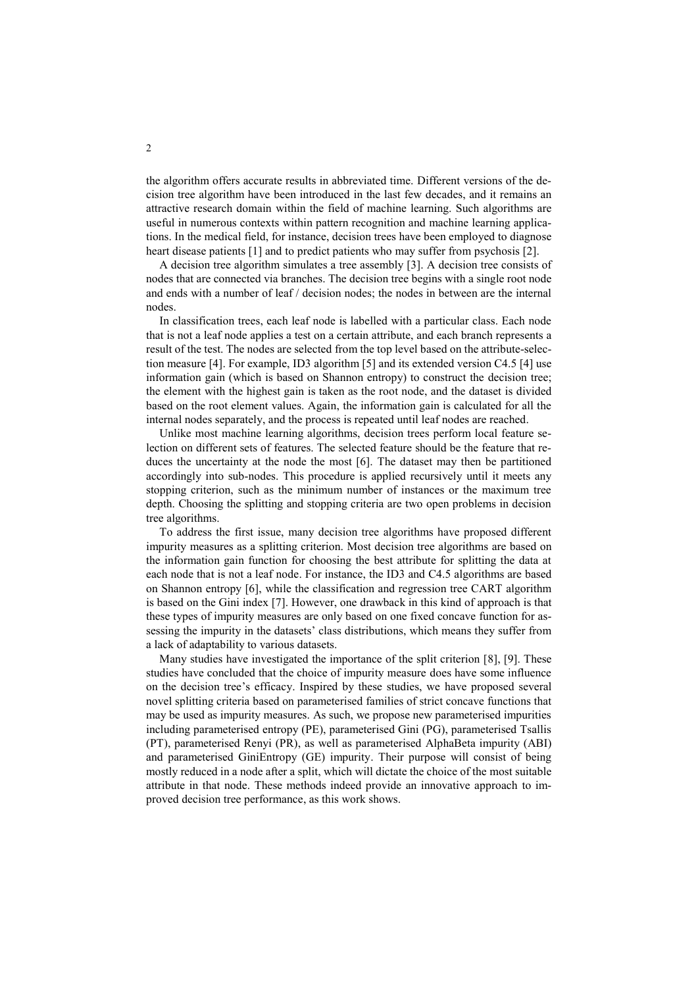the algorithm offers accurate results in abbreviated time. Different versions of the decision tree algorithm have been introduced in the last few decades, and it remains an attractive research domain within the field of machine learning. Such algorithms are useful in numerous contexts within pattern recognition and machine learning applications. In the medical field, for instance, decision trees have been employed to diagnose heart disease patients [1] and to predict patients who may suffer from psychosis [2].

A decision tree algorithm simulates a tree assembly [3]. A decision tree consists of nodes that are connected via branches. The decision tree begins with a single root node and ends with a number of leaf / decision nodes; the nodes in between are the internal nodes.

In classification trees, each leaf node is labelled with a particular class. Each node that is not a leaf node applies a test on a certain attribute, and each branch represents a result of the test. The nodes are selected from the top level based on the attribute-selection measure [4]. For example, ID3 algorithm [5] and its extended version C4.5 [4] use information gain (which is based on Shannon entropy) to construct the decision tree; the element with the highest gain is taken as the root node, and the dataset is divided based on the root element values. Again, the information gain is calculated for all the internal nodes separately, and the process is repeated until leaf nodes are reached.

Unlike most machine learning algorithms, decision trees perform local feature selection on different sets of features. The selected feature should be the feature that reduces the uncertainty at the node the most [6]. The dataset may then be partitioned accordingly into sub-nodes. This procedure is applied recursively until it meets any stopping criterion, such as the minimum number of instances or the maximum tree depth. Choosing the splitting and stopping criteria are two open problems in decision tree algorithms.

To address the first issue, many decision tree algorithms have proposed different impurity measures as a splitting criterion. Most decision tree algorithms are based on the information gain function for choosing the best attribute for splitting the data at each node that is not a leaf node. For instance, the ID3 and C4.5 algorithms are based on Shannon entropy [6], while the classification and regression tree CART algorithm is based on the Gini index [7]. However, one drawback in this kind of approach is that these types of impurity measures are only based on one fixed concave function for assessing the impurity in the datasets' class distributions, which means they suffer from a lack of adaptability to various datasets.

Many studies have investigated the importance of the split criterion [8], [9]. These studies have concluded that the choice of impurity measure does have some influence on the decision tree's efficacy. Inspired by these studies, we have proposed several novel splitting criteria based on parameterised families of strict concave functions that may be used as impurity measures. As such, we propose new parameterised impurities including parameterised entropy (PE), parameterised Gini (PG), parameterised Tsallis (PT), parameterised Renyi (PR), as well as parameterised AlphaBeta impurity (ABI) and parameterised GiniEntropy (GE) impurity. Their purpose will consist of being mostly reduced in a node after a split, which will dictate the choice of the most suitable attribute in that node. These methods indeed provide an innovative approach to improved decision tree performance, as this work shows.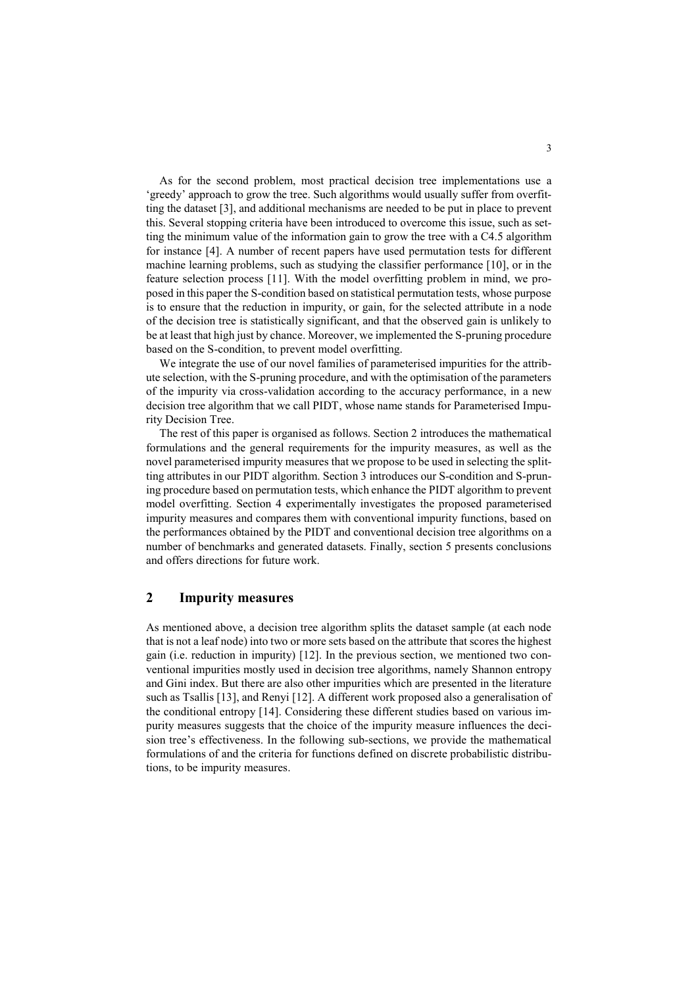As for the second problem, most practical decision tree implementations use a 'greedy' approach to grow the tree. Such algorithms would usually suffer from overfitting the dataset [3], and additional mechanisms are needed to be put in place to prevent this. Several stopping criteria have been introduced to overcome this issue, such as setting the minimum value of the information gain to grow the tree with a C4.5 algorithm for instance [4]. A number of recent papers have used permutation tests for different machine learning problems, such as studying the classifier performance [10], or in the feature selection process [11]. With the model overfitting problem in mind, we proposed in this paper the S-condition based on statistical permutation tests, whose purpose is to ensure that the reduction in impurity, or gain, for the selected attribute in a node of the decision tree is statistically significant, and that the observed gain is unlikely to be at least that high just by chance. Moreover, we implemented the S-pruning procedure based on the S-condition, to prevent model overfitting.

We integrate the use of our novel families of parameterised impurities for the attribute selection, with the S-pruning procedure, and with the optimisation of the parameters of the impurity via cross-validation according to the accuracy performance, in a new decision tree algorithm that we call PIDT, whose name stands for Parameterised Impurity Decision Tree.

The rest of this paper is organised as follows. Section 2 introduces the mathematical formulations and the general requirements for the impurity measures, as well as the novel parameterised impurity measures that we propose to be used in selecting the splitting attributes in our PIDT algorithm. Section 3 introduces our S-condition and S-pruning procedure based on permutation tests, which enhance the PIDT algorithm to prevent model overfitting. Section 4 experimentally investigates the proposed parameterised impurity measures and compares them with conventional impurity functions, based on the performances obtained by the PIDT and conventional decision tree algorithms on a number of benchmarks and generated datasets. Finally, section 5 presents conclusions and offers directions for future work.

## **2 Impurity measures**

As mentioned above, a decision tree algorithm splits the dataset sample (at each node that is not a leaf node) into two or more sets based on the attribute that scores the highest gain (i.e. reduction in impurity) [12]. In the previous section, we mentioned two conventional impurities mostly used in decision tree algorithms, namely Shannon entropy and Gini index. But there are also other impurities which are presented in the literature such as Tsallis [13], and Renyi [12]. A different work proposed also a generalisation of the conditional entropy [14]. Considering these different studies based on various impurity measures suggests that the choice of the impurity measure influences the decision tree's effectiveness. In the following sub-sections, we provide the mathematical formulations of and the criteria for functions defined on discrete probabilistic distributions, to be impurity measures.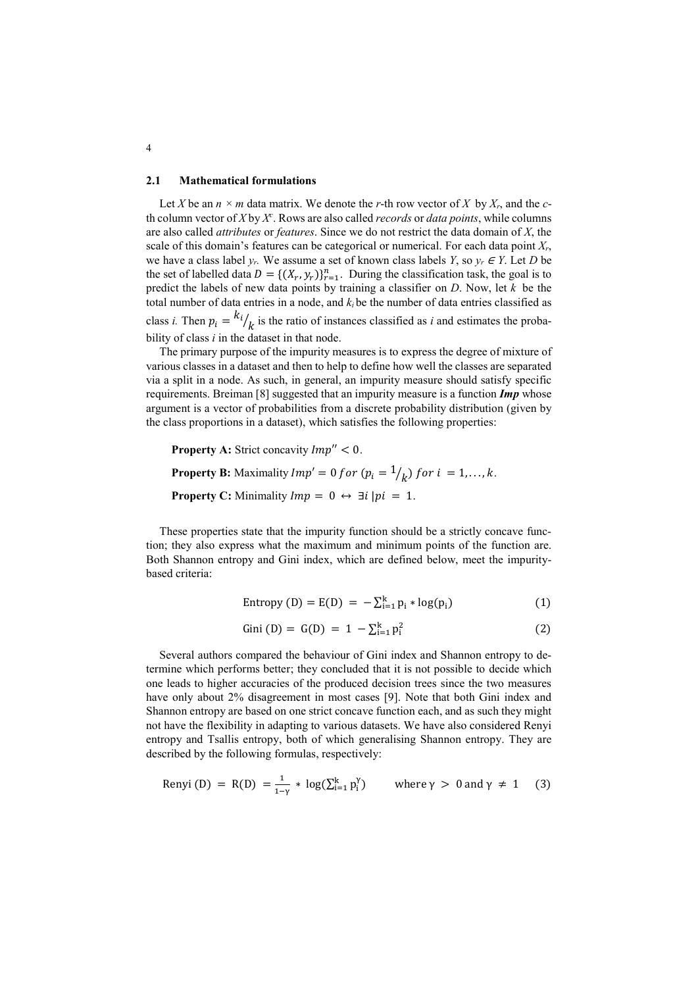#### **2.1 Mathematical formulations**

Let X be an  $n \times m$  data matrix. We denote the r-th row vector of X by X<sub>r</sub>, and the cth column vector of *X* by *X c* . Rows are also called *records* or *data points*, while columns are also called *attributes* or *features*. Since we do not restrict the data domain of *X*, the scale of this domain's features can be categorical or numerical. For each data point *Xr*, we have a class label *y<sub>r</sub>*. We assume a set of known class labels *Y*, so *y<sub>r</sub>*  $\in$  *Y*. Let *D* be the set of labelled data  $D = \{(X_r, y_r)\}_{r=1}^n$ . During the classification task, the goal is to predict the labels of new data points by training a classifier on *D*. Now, let *k* be the total number of data entries in a node, and  $k_i$  be the number of data entries classified as class *i*. Then  $p_i = {}^{k_i}$  $\frac{1}{k}$  is the ratio of instances classified as *i* and estimates the probability of class *i* in the dataset in that node.

The primary purpose of the impurity measures is to express the degree of mixture of various classes in a dataset and then to help to define how well the classes are separated via a split in a node. As such, in general, an impurity measure should satisfy specific requirements. Breiman [8] suggested that an impurity measure is a function *Imp* whose argument is a vector of probabilities from a discrete probability distribution (given by the class proportions in a dataset), which satisfies the following properties:

**Property A:** Strict concavity  $Imp'' < 0$ . **Property B:** Maximality  $Imp' = 0$  for  $(p_i = 1/2)$  for  $i = 1, ..., k$ . **Property C:** Minimality  $Imp = 0 \leftrightarrow \exists i | pi = 1$ .

These properties state that the impurity function should be a strictly concave function; they also express what the maximum and minimum points of the function are. Both Shannon entropy and Gini index, which are defined below, meet the impuritybased criteria:

Entropy (D) = E(D) = 
$$
-\sum_{i=1}^{k} p_i * log(p_i)
$$
 (1)

Gini (D) = G(D) = 
$$
1 - \sum_{i=1}^{k} p_i^2
$$
 (2)

Several authors compared the behaviour of Gini index and Shannon entropy to determine which performs better; they concluded that it is not possible to decide which one leads to higher accuracies of the produced decision trees since the two measures have only about 2% disagreement in most cases [9]. Note that both Gini index and Shannon entropy are based on one strict concave function each, and as such they might not have the flexibility in adapting to various datasets. We have also considered Renyi entropy and Tsallis entropy, both of which generalising Shannon entropy. They are described by the following formulas, respectively:

Renyi (D) = R(D) = 
$$
\frac{1}{1-\gamma}
$$
 \* log(Σ<sup>k</sup><sub>i=1</sub> p<sup>γ</sup><sub>i</sub>) where γ > 0 and γ ≠ 1 (3)

4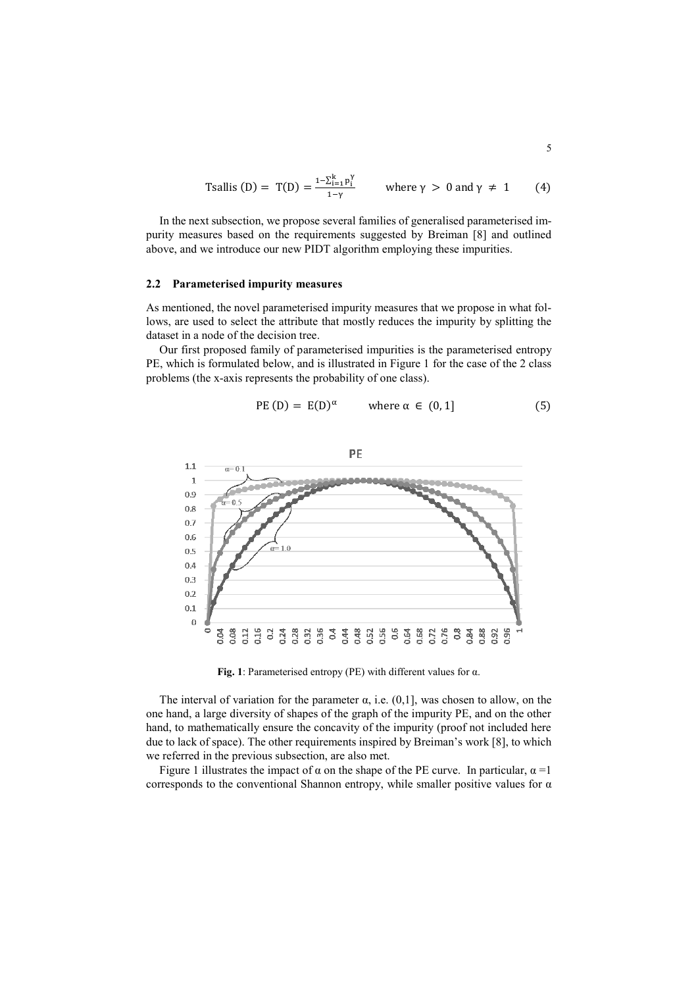Tsallis (D) = T(D) = 
$$
\frac{1-\sum_{i=1}^{k} p_i^{\gamma}}{1-\gamma}
$$
 where  $\gamma > 0$  and  $\gamma \neq 1$  (4)

In the next subsection, we propose several families of generalised parameterised impurity measures based on the requirements suggested by Breiman [8] and outlined above, and we introduce our new PIDT algorithm employing these impurities.

#### **2.2 Parameterised impurity measures**

As mentioned, the novel parameterised impurity measures that we propose in what follows, are used to select the attribute that mostly reduces the impurity by splitting the dataset in a node of the decision tree.

Our first proposed family of parameterised impurities is the parameterised entropy PE, which is formulated below, and is illustrated in Figure 1 for the case of the 2 class problems (the x-axis represents the probability of one class).

$$
PE(D) = E(D)^{\alpha} \qquad \text{where } \alpha \in (0, 1] \tag{5}
$$



**Fig. 1**: Parameterised entropy (PE) with different values for α.

The interval of variation for the parameter  $\alpha$ , i.e. (0,1], was chosen to allow, on the one hand, a large diversity of shapes of the graph of the impurity PE, and on the other hand, to mathematically ensure the concavity of the impurity (proof not included here due to lack of space). The other requirements inspired by Breiman's work [8], to which we referred in the previous subsection, are also met.

Figure 1 illustrates the impact of  $\alpha$  on the shape of the PE curve. In particular,  $\alpha =1$ corresponds to the conventional Shannon entropy, while smaller positive values for  $\alpha$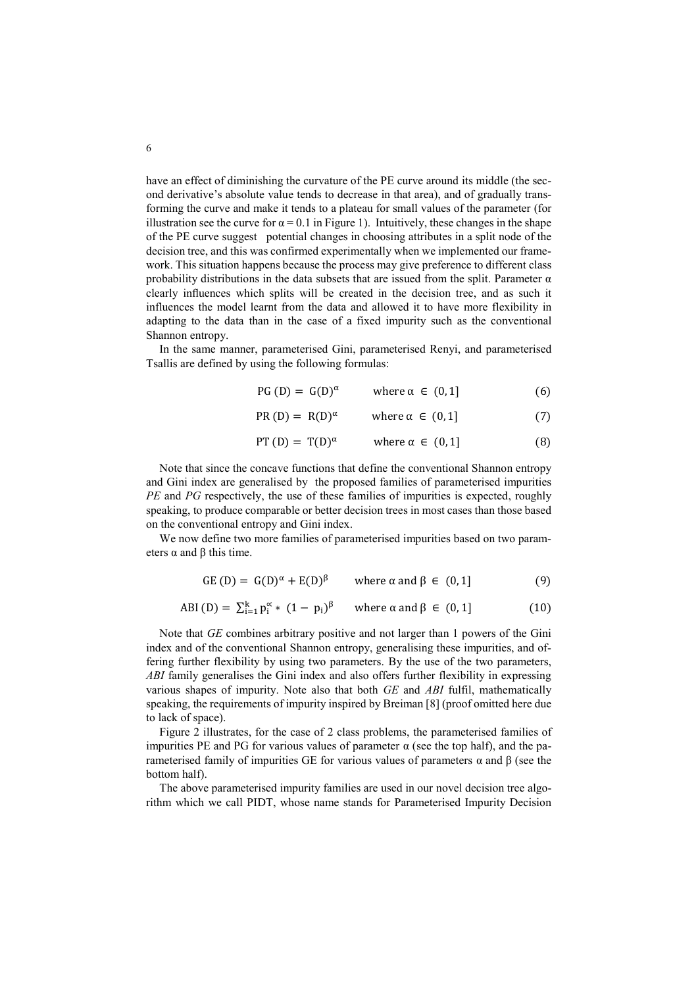have an effect of diminishing the curvature of the PE curve around its middle (the second derivative's absolute value tends to decrease in that area), and of gradually transforming the curve and make it tends to a plateau for small values of the parameter (for illustration see the curve for  $\alpha = 0.1$  in Figure 1). Intuitively, these changes in the shape of the PE curve suggest potential changes in choosing attributes in a split node of the decision tree, and this was confirmed experimentally when we implemented our framework. This situation happens because the process may give preference to different class probability distributions in the data subsets that are issued from the split. Parameter  $\alpha$ clearly influences which splits will be created in the decision tree, and as such it influences the model learnt from the data and allowed it to have more flexibility in adapting to the data than in the case of a fixed impurity such as the conventional Shannon entropy.

In the same manner, parameterised Gini, parameterised Renyi, and parameterised Tsallis are defined by using the following formulas:

$$
PG(D) = G(D)^{\alpha} \qquad \text{where } \alpha \in (0, 1] \tag{6}
$$

 $PR(D) = R(D)^{\alpha}$  where  $\alpha \in (0, 1]$  (7)

$$
PT(D) = T(D)^{\alpha} \qquad \text{where } \alpha \in (0, 1] \tag{8}
$$

Note that since the concave functions that define the conventional Shannon entropy and Gini index are generalised by the proposed families of parameterised impurities *PE* and *PG* respectively, the use of these families of impurities is expected, roughly speaking, to produce comparable or better decision trees in most cases than those based on the conventional entropy and Gini index.

We now define two more families of parameterised impurities based on two parameters  $\alpha$  and  $\beta$  this time.

$$
GE (D) = G(D)^{\alpha} + E(D)^{\beta} \quad \text{where } \alpha \text{ and } \beta \in (0, 1] \tag{9}
$$

$$
ABI(D) = \sum_{i=1}^{k} p_i^{\alpha} * (1 - p_i)^{\beta} \quad \text{where } \alpha \text{ and } \beta \in (0, 1]
$$
 (10)

Note that *GE* combines arbitrary positive and not larger than 1 powers of the Gini index and of the conventional Shannon entropy, generalising these impurities, and offering further flexibility by using two parameters. By the use of the two parameters, *ABI* family generalises the Gini index and also offers further flexibility in expressing various shapes of impurity. Note also that both *GE* and *ABI* fulfil, mathematically speaking, the requirements of impurity inspired by Breiman [8] (proof omitted here due to lack of space).

Figure 2 illustrates, for the case of 2 class problems, the parameterised families of impurities PE and PG for various values of parameter  $\alpha$  (see the top half), and the parameterised family of impurities GE for various values of parameters α and β (see the bottom half).

The above parameterised impurity families are used in our novel decision tree algorithm which we call PIDT, whose name stands for Parameterised Impurity Decision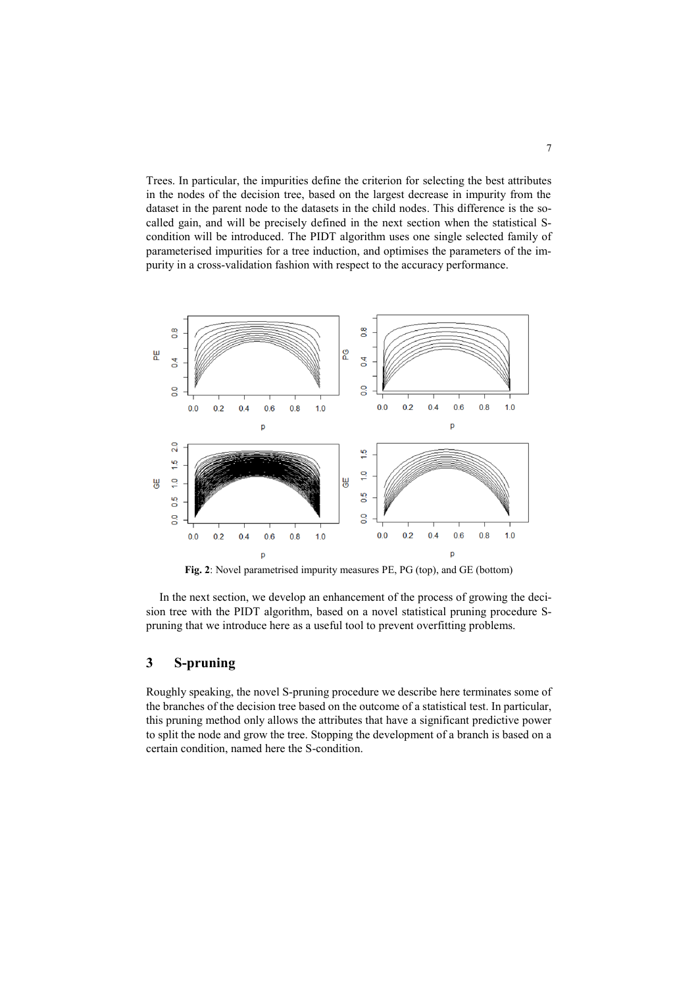Trees. In particular, the impurities define the criterion for selecting the best attributes in the nodes of the decision tree, based on the largest decrease in impurity from the dataset in the parent node to the datasets in the child nodes. This difference is the socalled gain, and will be precisely defined in the next section when the statistical Scondition will be introduced. The PIDT algorithm uses one single selected family of parameterised impurities for a tree induction, and optimises the parameters of the impurity in a cross-validation fashion with respect to the accuracy performance.



**Fig. 2**: Novel parametrised impurity measures PE, PG (top), and GE (bottom)

In the next section, we develop an enhancement of the process of growing the decision tree with the PIDT algorithm, based on a novel statistical pruning procedure Spruning that we introduce here as a useful tool to prevent overfitting problems.

## **3 S-pruning**

Roughly speaking, the novel S-pruning procedure we describe here terminates some of the branches of the decision tree based on the outcome of a statistical test. In particular, this pruning method only allows the attributes that have a significant predictive power to split the node and grow the tree. Stopping the development of a branch is based on a certain condition, named here the S-condition.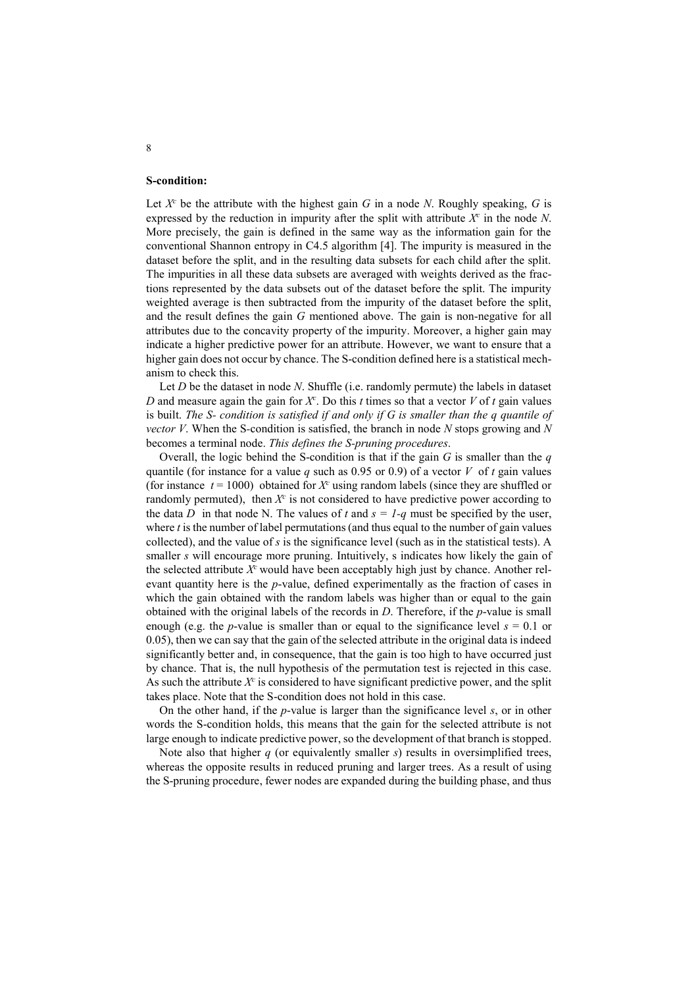#### **S-condition:**

Let  $X^c$  be the attribute with the highest gain  $G$  in a node  $N$ . Roughly speaking,  $G$  is expressed by the reduction in impurity after the split with attribute  $X^c$  in the node  $N$ . More precisely, the gain is defined in the same way as the information gain for the conventional Shannon entropy in C4.5 algorithm [4]. The impurity is measured in the dataset before the split, and in the resulting data subsets for each child after the split. The impurities in all these data subsets are averaged with weights derived as the fractions represented by the data subsets out of the dataset before the split. The impurity weighted average is then subtracted from the impurity of the dataset before the split, and the result defines the gain *G* mentioned above. The gain is non-negative for all attributes due to the concavity property of the impurity. Moreover, a higher gain may indicate a higher predictive power for an attribute. However, we want to ensure that a higher gain does not occur by chance. The S-condition defined here is a statistical mechanism to check this.

Let *D* be the dataset in node *N*. Shuffle (i.e. randomly permute) the labels in dataset *D* and measure again the gain for *X c* . Do this *t* times so that a vector *V* of *t* gain values is built. *The S- condition is satisfied if and only if G is smaller than the q quantile of vector V*. When the S*-*condition is satisfied, the branch in node *N* stops growing and *N* becomes a terminal node. *This defines the S-pruning procedures*.

Overall, the logic behind the S-condition is that if the gain *G* is smaller than the *q* quantile (for instance for a value  $q$  such as 0.95 or 0.9) of a vector  $V$  of  $t$  gain values (for instance  $t = 1000$ ) obtained for  $X<sup>c</sup>$  using random labels (since they are shuffled or randomly permuted), then  $X^c$  is not considered to have predictive power according to the data *D* in that node N. The values of *t* and  $s = 1-q$  must be specified by the user, where  $t$  is the number of label permutations (and thus equal to the number of gain values collected), and the value of  $s$  is the significance level (such as in the statistical tests). A smaller *s* will encourage more pruning. Intuitively, s indicates how likely the gain of the selected attribute *X <sup>c</sup>* would have been acceptably high just by chance. Another relevant quantity here is the *p*-value, defined experimentally as the fraction of cases in which the gain obtained with the random labels was higher than or equal to the gain obtained with the original labels of the records in *D*. Therefore, if the *p*-value is small enough (e.g. the *p*-value is smaller than or equal to the significance level  $s = 0.1$  or 0.05), then we can say that the gain of the selected attribute in the original data is indeed significantly better and, in consequence, that the gain is too high to have occurred just by chance. That is, the null hypothesis of the permutation test is rejected in this case. As such the attribute  $X^c$  is considered to have significant predictive power, and the split takes place. Note that the S-condition does not hold in this case.

On the other hand, if the *p*-value is larger than the significance level *s*, or in other words the S-condition holds, this means that the gain for the selected attribute is not large enough to indicate predictive power, so the development of that branch is stopped.

Note also that higher *q* (or equivalently smaller *s*) results in oversimplified trees, whereas the opposite results in reduced pruning and larger trees. As a result of using the S-pruning procedure, fewer nodes are expanded during the building phase, and thus

8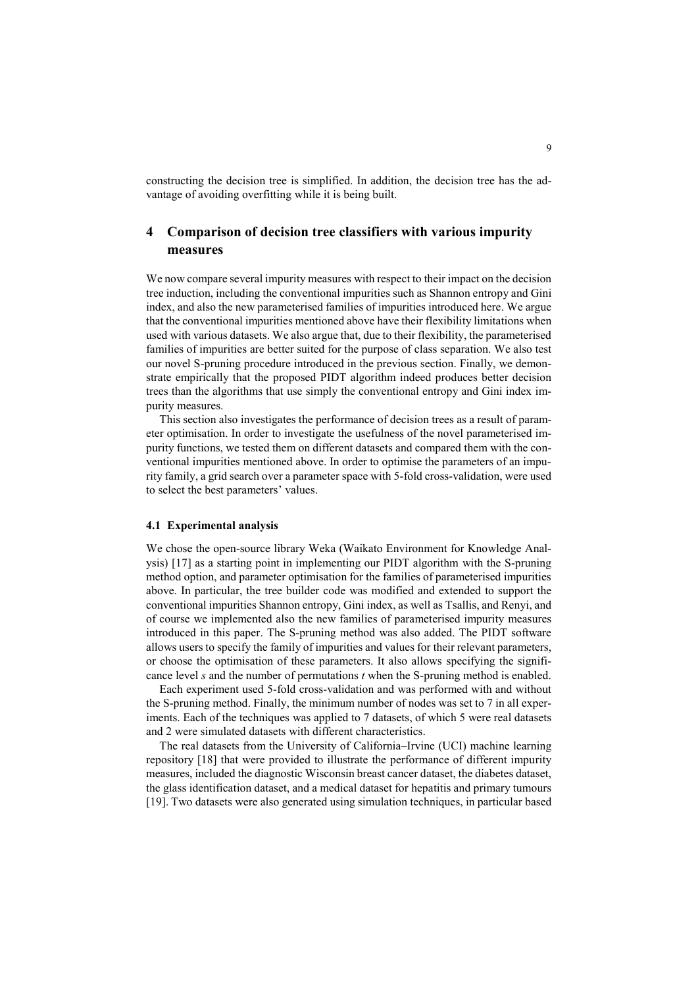constructing the decision tree is simplified. In addition, the decision tree has the advantage of avoiding overfitting while it is being built.

## **4 Comparison of decision tree classifiers with various impurity measures**

We now compare several impurity measures with respect to their impact on the decision tree induction, including the conventional impurities such as Shannon entropy and Gini index, and also the new parameterised families of impurities introduced here. We argue that the conventional impurities mentioned above have their flexibility limitations when used with various datasets. We also argue that, due to their flexibility, the parameterised families of impurities are better suited for the purpose of class separation. We also test our novel S-pruning procedure introduced in the previous section. Finally, we demonstrate empirically that the proposed PIDT algorithm indeed produces better decision trees than the algorithms that use simply the conventional entropy and Gini index impurity measures.

This section also investigates the performance of decision trees as a result of parameter optimisation. In order to investigate the usefulness of the novel parameterised impurity functions, we tested them on different datasets and compared them with the conventional impurities mentioned above. In order to optimise the parameters of an impurity family, a grid search over a parameter space with 5-fold cross-validation, were used to select the best parameters' values.

#### **4.1 Experimental analysis**

We chose the open-source library Weka (Waikato Environment for Knowledge Analysis) [17] as a starting point in implementing our PIDT algorithm with the S-pruning method option, and parameter optimisation for the families of parameterised impurities above. In particular, the tree builder code was modified and extended to support the conventional impurities Shannon entropy, Gini index, as well as Tsallis, and Renyi, and of course we implemented also the new families of parameterised impurity measures introduced in this paper. The S-pruning method was also added. The PIDT software allows users to specify the family of impurities and values for their relevant parameters, or choose the optimisation of these parameters. It also allows specifying the significance level *s* and the number of permutations *t* when the S-pruning method is enabled.

Each experiment used 5-fold cross-validation and was performed with and without the S-pruning method. Finally, the minimum number of nodes was set to 7 in all experiments. Each of the techniques was applied to 7 datasets, of which 5 were real datasets and 2 were simulated datasets with different characteristics.

The real datasets from the University of California–Irvine (UCI) machine learning repository [18] that were provided to illustrate the performance of different impurity measures, included the diagnostic Wisconsin breast cancer dataset, the diabetes dataset, the glass identification dataset, and a medical dataset for hepatitis and primary tumours [19]. Two datasets were also generated using simulation techniques, in particular based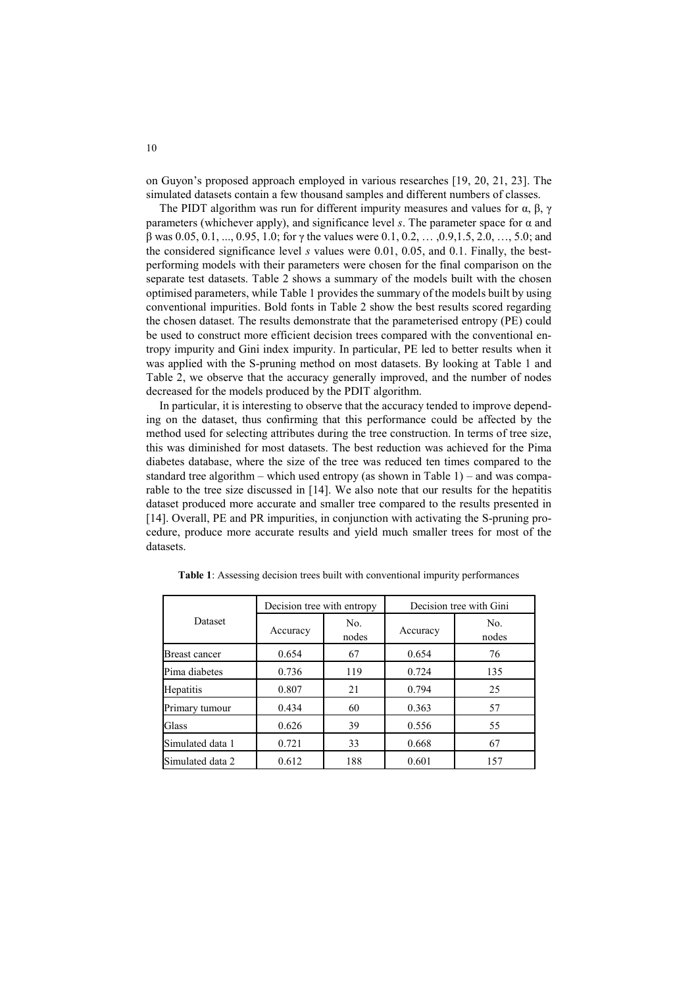on Guyon's proposed approach employed in various researches [19, 20, 21, 23]. The simulated datasets contain a few thousand samples and different numbers of classes.

The PIDT algorithm was run for different impurity measures and values for  $\alpha$ ,  $\beta$ ,  $\gamma$ parameters (whichever apply), and significance level *s*. The parameter space for α and β was 0.05, 0.1, ..., 0.95, 1.0; for γ the values were 0.1, 0.2, … ,0.9,1.5, 2.0, …, 5.0; and the considered significance level *s* values were 0.01, 0.05, and 0.1. Finally, the bestperforming models with their parameters were chosen for the final comparison on the separate test datasets. Table 2 shows a summary of the models built with the chosen optimised parameters, while Table 1 provides the summary of the models built by using conventional impurities. Bold fonts in Table 2 show the best results scored regarding the chosen dataset. The results demonstrate that the parameterised entropy (PE) could be used to construct more efficient decision trees compared with the conventional entropy impurity and Gini index impurity. In particular, PE led to better results when it was applied with the S-pruning method on most datasets. By looking at Table 1 and Table 2, we observe that the accuracy generally improved, and the number of nodes decreased for the models produced by the PDIT algorithm.

In particular, it is interesting to observe that the accuracy tended to improve depending on the dataset, thus confirming that this performance could be affected by the method used for selecting attributes during the tree construction. In terms of tree size, this was diminished for most datasets. The best reduction was achieved for the Pima diabetes database, where the size of the tree was reduced ten times compared to the standard tree algorithm – which used entropy (as shown in Table  $1$ ) – and was comparable to the tree size discussed in [14]. We also note that our results for the hepatitis dataset produced more accurate and smaller tree compared to the results presented in [14]. Overall, PE and PR impurities, in conjunction with activating the S-pruning procedure, produce more accurate results and yield much smaller trees for most of the datasets.

| Dataset              | Decision tree with entropy |              | Decision tree with Gini |              |  |  |
|----------------------|----------------------------|--------------|-------------------------|--------------|--|--|
|                      | Accuracy                   | No.<br>nodes | Accuracy                | No.<br>nodes |  |  |
| <b>Breast cancer</b> | 0.654                      | 67           | 0.654                   | 76           |  |  |
| Pima diabetes        | 0.736                      | 119          | 0.724                   | 135          |  |  |
| Hepatitis            | 0.807                      | 21           | 0.794                   | 25           |  |  |
| Primary tumour       | 0.434                      | 60           | 0.363                   | 57           |  |  |
| Glass                | 0.626                      | 39           | 0.556                   | 55           |  |  |
| Simulated data 1     | 0.721                      | 33           | 0.668                   | 67           |  |  |
| Simulated data 2     | 0.612                      | 188          | 0.601                   | 157          |  |  |

**Table 1**: Assessing decision trees built with conventional impurity performances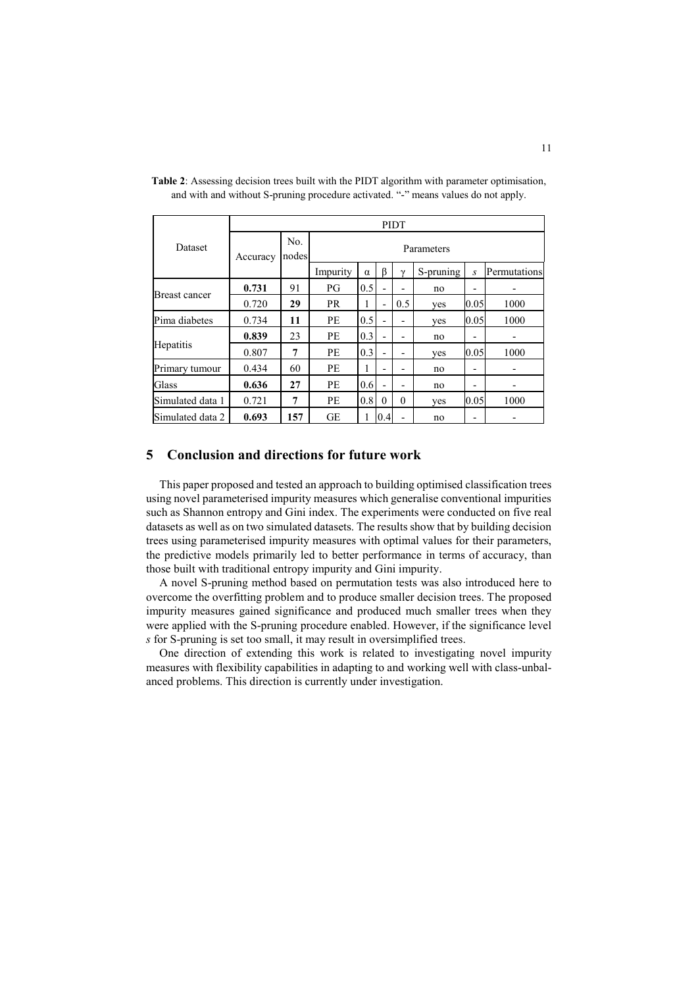|                  | <b>PIDT</b> |              |            |          |                          |                          |           |                          |              |  |
|------------------|-------------|--------------|------------|----------|--------------------------|--------------------------|-----------|--------------------------|--------------|--|
| Dataset          | Accuracy    | No.<br>nodes | Parameters |          |                          |                          |           |                          |              |  |
|                  |             |              | Impurity   | $\alpha$ | β                        | $\gamma$                 | S-pruning | $\overline{S}$           | Permutations |  |
| Breast cancer    | 0.731       | 91           | PG         | 0.5      | $\overline{\phantom{a}}$ |                          | no        | $\overline{\phantom{0}}$ |              |  |
|                  | 0.720       | 29           | <b>PR</b>  | 1        | $\overline{\phantom{a}}$ | 0.5                      | yes       | 0.05                     | 1000         |  |
| Pima diabetes    | 0.734       | 11           | <b>PE</b>  | 0.5      | $\overline{\phantom{a}}$ | $\overline{\phantom{0}}$ | yes       | 0.05                     | 1000         |  |
| Hepatitis        | 0.839       | 23           | PE         | 0.3      | $\overline{\phantom{a}}$ | $\qquad \qquad$          | no        | $\overline{\phantom{0}}$ |              |  |
|                  | 0.807       | 7            | PE         | 0.3      | $\overline{\phantom{a}}$ | $\overline{\phantom{a}}$ | yes       | 0.05                     | 1000         |  |
| Primary tumour   | 0.434       | 60           | <b>PE</b>  | 1        | $\overline{\phantom{0}}$ | $\overline{\phantom{a}}$ | no        | $\overline{\phantom{0}}$ |              |  |
| Glass            | 0.636       | 27           | PE         | 0.6      | $\overline{\phantom{a}}$ | $\qquad \qquad$          | no        | $\overline{\phantom{0}}$ |              |  |
| Simulated data 1 | 0.721       | 7            | PE         | 0.8      | $\theta$                 | $\theta$                 | yes       | 0.05                     | 1000         |  |
| Simulated data 2 | 0.693       | 157          | <b>GE</b>  | 1        | 0.4                      |                          | no        | -                        |              |  |

**Table 2**: Assessing decision trees built with the PIDT algorithm with parameter optimisation, and with and without S-pruning procedure activated. "-" means values do not apply.

## **5 Conclusion and directions for future work**

This paper proposed and tested an approach to building optimised classification trees using novel parameterised impurity measures which generalise conventional impurities such as Shannon entropy and Gini index. The experiments were conducted on five real datasets as well as on two simulated datasets. The results show that by building decision trees using parameterised impurity measures with optimal values for their parameters, the predictive models primarily led to better performance in terms of accuracy, than those built with traditional entropy impurity and Gini impurity.

A novel S-pruning method based on permutation tests was also introduced here to overcome the overfitting problem and to produce smaller decision trees. The proposed impurity measures gained significance and produced much smaller trees when they were applied with the S-pruning procedure enabled. However, if the significance level *s* for S-pruning is set too small, it may result in oversimplified trees.

One direction of extending this work is related to investigating novel impurity measures with flexibility capabilities in adapting to and working well with class-unbalanced problems. This direction is currently under investigation.